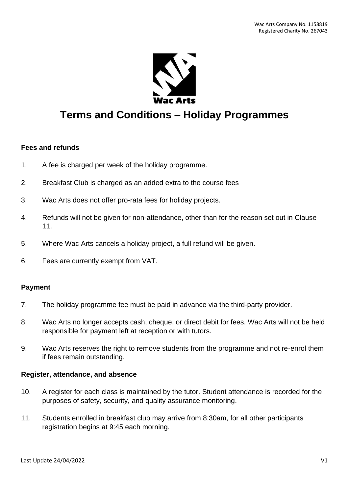

# **Terms and Conditions – Holiday Programmes**

#### **Fees and refunds**

- 1. A fee is charged per week of the holiday programme.
- 2. Breakfast Club is charged as an added extra to the course fees
- 3. Wac Arts does not offer pro-rata fees for holiday projects.
- 4. Refunds will not be given for non-attendance, other than for the reason set out in Clause 11.
- 5. Where Wac Arts cancels a holiday project, a full refund will be given.
- 6. Fees are currently exempt from VAT.

#### **Payment**

- 7. The holiday programme fee must be paid in advance via the third-party provider.
- 8. Wac Arts no longer accepts cash, cheque, or direct debit for fees. Wac Arts will not be held responsible for payment left at reception or with tutors.
- 9. Wac Arts reserves the right to remove students from the programme and not re-enrol them if fees remain outstanding.

#### **Register, attendance, and absence**

- 10. A register for each class is maintained by the tutor. Student attendance is recorded for the purposes of safety, security, and quality assurance monitoring.
- 11. Students enrolled in breakfast club may arrive from 8:30am, for all other participants registration begins at 9:45 each morning.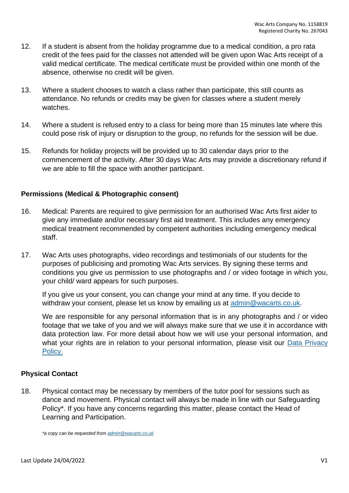- 12. If a student is absent from the holiday programme due to a medical condition, a pro rata credit of the fees paid for the classes not attended will be given upon Wac Arts receipt of a valid medical certificate. The medical certificate must be provided within one month of the absence, otherwise no credit will be given.
- 13. Where a student chooses to watch a class rather than participate, this still counts as attendance. No refunds or credits may be given for classes where a student merely watches.
- 14. Where a student is refused entry to a class for being more than 15 minutes late where this could pose risk of injury or disruption to the group, no refunds for the session will be due.
- 15. Refunds for holiday projects will be provided up to 30 calendar days prior to the commencement of the activity. After 30 days Wac Arts may provide a discretionary refund if we are able to fill the space with another participant.

## **Permissions (Medical & Photographic consent)**

- 16. Medical: Parents are required to give permission for an authorised Wac Arts first aider to give any immediate and/or necessary first aid treatment. This includes any emergency medical treatment recommended by competent authorities including emergency medical staff.
- 17. Wac Arts uses photographs, video recordings and testimonials of our students for the purposes of publicising and promoting Wac Arts services. By signing these terms and conditions you give us permission to use photographs and / or video footage in which you, your child/ ward appears for such purposes.

If you give us your consent, you can change your mind at any time. If you decide to withdraw your consent, please let us know by emailing us at [admin@wacarts.co.uk.](mailto:admin@wacarts.co.uk)

We are responsible for any personal information that is in any photographs and / or video footage that we take of you and we will always make sure that we use it in accordance with data protection law. For more detail about how we will use your personal information, and what your rights are in relation to your personal information, please visit our Data Privacy Policy.

### **Physical Contact**

18. Physical contact may be necessary by members of the tutor pool for sessions such as dance and movement. Physical contact will always be made in line with our Safeguarding Policy\*. If you have any concerns regarding this matter, please contact the Head of Learning and Participation.

*\*a copy can be requested from [admin@wacarts.co.uk](mailto:admin@wacarts.co.uk)*